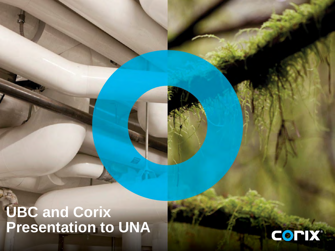**UBC and Corix Presentation to UNA**

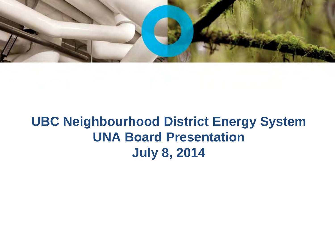

# **UBC Neighbourhood District Energy System UNA Board Presentation July 8, 2014**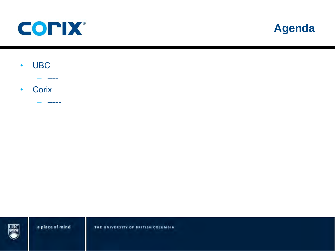



- UBC
	- ----
- Corix

– -----

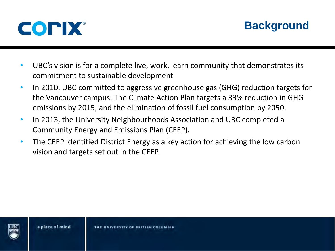

- UBC's vision is for a complete live, work, learn community that demonstrates its commitment to sustainable development
- In 2010, UBC committed to aggressive greenhouse gas (GHG) reduction targets for the Vancouver campus. The Climate Action Plan targets a 33% reduction in GHG emissions by 2015, and the elimination of fossil fuel consumption by 2050.
- In 2013, the University Neighbourhoods Association and UBC completed a Community Energy and Emissions Plan (CEEP).
- The CEEP identified District Energy as a key action for achieving the low carbon vision and targets set out in the CEEP.

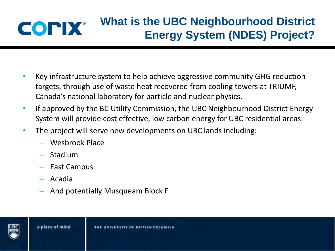

## **What is the UBC Neighbourhood District Energy System (NDES) Project?**

- Key infrastructure system to help achieve aggressive community GHG reduction targets, through use of waste heat recovered from cooling towers at TRIUMF, Canada's national laboratory for particle and nuclear physics.
- If approved by the BC Utility Commission, the UBC Neighbourhood District Energy System will provide cost effective, low carbon energy for UBC residential areas.
- The project will serve new developments on UBC lands including:
	- Wesbrook Place
	- Stadium
	- East Campus
	- Acadia
	- And potentially Musqueam Block F

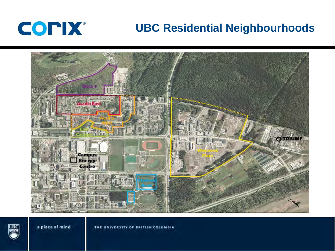

### **UBC Residential Neighbourhoods**



a place of mind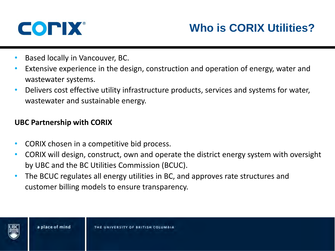# COPIX

# **Who is CORIX Utilities?**

- Based locally in Vancouver, BC.
- Extensive experience in the design, construction and operation of energy, water and wastewater systems.
- Delivers cost effective utility infrastructure products, services and systems for water, wastewater and sustainable energy.

### **UBC Partnership with CORIX**

- CORIX chosen in a competitive bid process.
- CORIX will design, construct, own and operate the district energy system with oversight by UBC and the BC Utilities Commission (BCUC).
- The BCUC regulates all energy utilities in BC, and approves rate structures and customer billing models to ensure transparency.

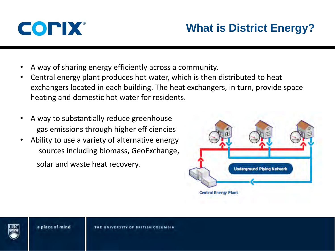

## **What is District Energy?**

- A way of sharing energy efficiently across a community.
- Central energy plant produces hot water, which is then distributed to heat exchangers located in each building. The heat exchangers, in turn, provide space heating and domestic hot water for residents.
- A way to substantially reduce greenhouse gas emissions through higher efficiencies
- Ability to use a variety of alternative energy sources including biomass, GeoExchange, solar and waste heat recovery.



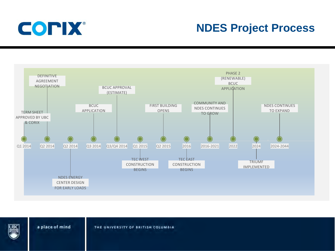

### **NDES Project Process**





a place of mind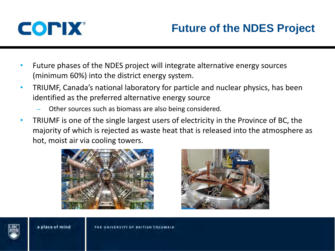

## **Future of the NDES Project**

- Future phases of the NDES project will integrate alternative energy sources (minimum 60%) into the district energy system.
- TRIUMF, Canada's national laboratory for particle and nuclear physics, has been identified as the preferred alternative energy source
	- Other sources such as biomass are also being considered.
- TRIUMF is one of the single largest users of electricity in the Province of BC, the majority of which is rejected as waste heat that is released into the atmosphere as hot, moist air via cooling towers.







a place of mind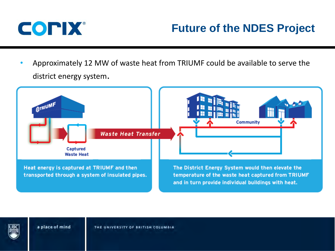

## **Future of the NDES Project**

• Approximately 12 MW of waste heat from TRIUMF could be available to serve the district energy system.





a place of mind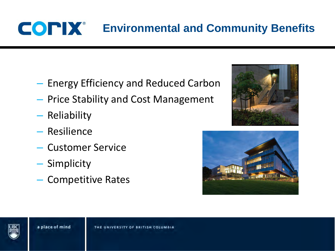# **COPIX**<sup>®</sup> Environmental and Community Benefits

- Energy Efficiency and Reduced Carbon
- Price Stability and Cost Management
- Reliability
- Resilience
- Customer Service
- Simplicity
- Competitive Rates





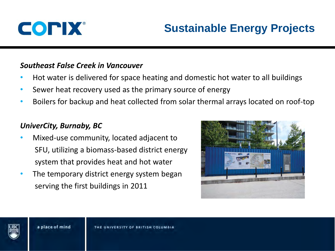

# **Sustainable Energy Projects**

#### *Southeast False Creek in Vancouver*

- Hot water is delivered for space heating and domestic hot water to all buildings
- Sewer heat recovery used as the primary source of energy
- Boilers for backup and heat collected from solar thermal arrays located on roof-top

### *UniverCity, Burnaby, BC*

- Mixed-use community, located adjacent to SFU, utilizing a biomass-based district energy system that provides heat and hot water
- The temporary district energy system began serving the first buildings in 2011



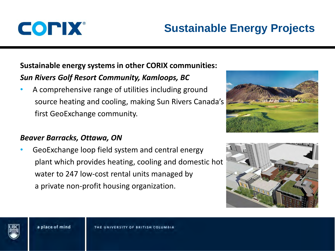

# **Sustainable Energy Projects**

### **Sustainable energy systems in other CORIX communities:**

### *Sun Rivers Golf Resort Community, Kamloops, BC*

• A comprehensive range of utilities including ground source heating and cooling, making Sun Rivers Canada's first GeoExchange community.

#### *Beaver Barracks, Ottawa, ON*

• GeoExchange loop field system and central energy plant which provides heating, cooling and domestic hot water to 247 low-cost rental units managed by a private non-profit housing organization.





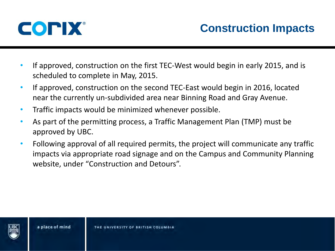

- If approved, construction on the first TEC-West would begin in early 2015, and is scheduled to complete in May, 2015.
- If approved, construction on the second TEC-East would begin in 2016, located near the currently un-subdivided area near Binning Road and Gray Avenue.
- Traffic impacts would be minimized whenever possible.
- As part of the permitting process, a Traffic Management Plan (TMP) must be approved by UBC.
- Following approval of all required permits, the project will communicate any traffic impacts via appropriate road signage and on the Campus and Community Planning website, under "Construction and Detours".